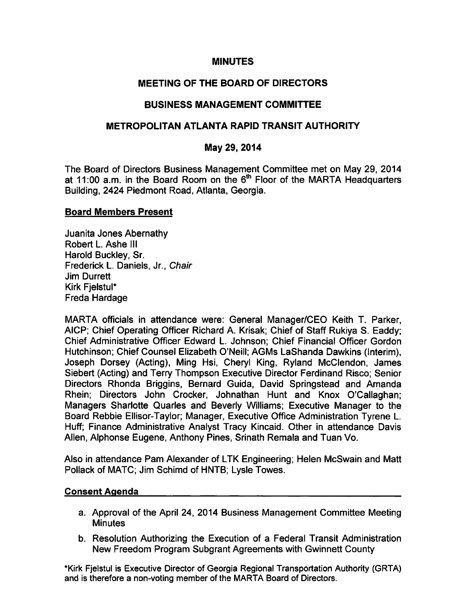#### **MINUTES**

# MEETING OF THE BOARD OF DIRECTORS

### BUSINESS MANAGEMENT COMMITTEE

### METROPOLITAN ATLANTA RAPID TRANSIT AUTHORITY

### May 29, 2014

The Board of Directors Business Management Committee met on May 29, 2014 at 11:00 a.m. in the Board Room on the  $6<sup>th</sup>$  Floor of the MARTA Headquarters Building, 2424 Piedmont Road, Atlanta, Georgia.

#### Board Members Present

Juanita Jones Abernathy Robert L. Ashe III Harold Buckley, Sr. Frederick L. Daniels, Jr., Chair Jim Durrett Kirk FjelstuI\* Freda Hardage

MARTA officials in attendance were: General Manager/CEO Keith T. Parker, AICP; Chief Operating Officer Richard A. Krisak; Chief of Staff Rukiya S. Eaddy; Chief Administrative Officer Edward L. Johnson; Chief Financial Officer Gordon Hutchinson; Chief Counsel Elizabeth O'Neill; AGMs LaShanda Dawkins (Interim), Joseph Dorsey (Acting), Ming Hsi, Cheryl King, Ryland McClendon, James Siebert (Acting) and Terry Thompson Executive Director Ferdinand Risco; Senior Directors Rhonda Briggins, Bernard Guida, David Springstead and Amanda Rhein; Directors John Crocker, Johnathan Hunt and Knox O'Callaghan; Managers Sharlotte Quarles and Beverly Williams; Executive Manager to the Board Rebbie Ellisor-Taylor; Manager, Executive Office Administration Tyrene L. Huff; Finance Administrative Analyst Tracy Kincaid. Other in attendance Davis Allen, Alphonse Eugene, Anthony Pines, Srinath Remala and Tuan Vo.

Also in attendance Pam Alexander of LTK Engineering; Helen McSwain and Matt Pollack of MATC; Jim Schimd of HNTB; Lysle Towes.

#### Consent Agenda

- a. Approval of the April 24, 2014 Business Management Committee Meeting **Minutes**
- b. Resolution Authorizing the Execution of a Federal Transit Administration New Freedom Program Subgrant Agreements with Gwinnett County

\*Kirk FjelstuI is Executive Director of Georgia Regional Transportation Authority (GRTA) and is therefore a non-voting member of the MARTA Board of Directors.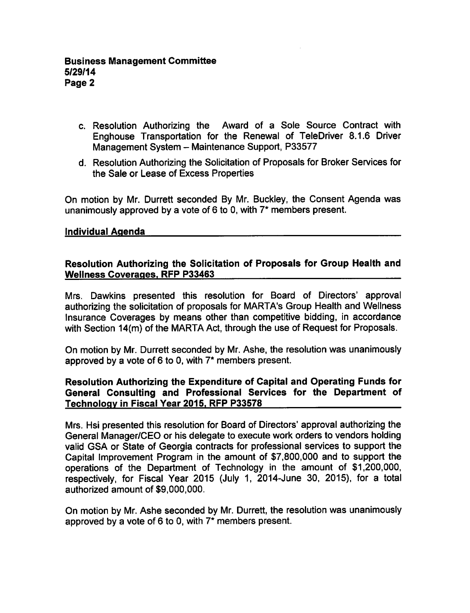- c. Resolution Authorizing the Award of a Sole Source Contract with Enghouse Transportation for the Renewal of TeleDriver 8.1.6 Driver Management System - Maintenance Support, P33577
- d. Resolution Authorizing the Solicitation of Proposals for Broker Services for the Sale or Lease of Excess Properties

On motion by Mr. Durrett seconded By Mr. Buckley, the Consent Agenda was unanimously approved by a vote of 6 to 0, with  $7^*$  members present.

#### Individual Agenda

### Resolution Authorizing the Solicitation of Proposals for Group Health and Wellness Coverages. RFP P33463

Mrs. Dawkins presented this resolution for Board of Directors' approval authorizing the solicitation of proposals for MARTA's Group Health and Wellness Insurance Coverages by means other than competitive bidding, in accordance with Section 14(m) of the MARTA Act, through the use of Request for Proposals.

On motion by Mr. Durrett seconded by Mr. Ashe, the resolution was unanimously approved by a vote of 6 to 0, with  $7*$  members present.

## Resolution Authorizing the Expenditure of Capital and Operating Funds for General Consulting and Professional Services for the Department of Technology in Fiscal Year 2015. RFP P33578

Mrs. Hsi presented this resolution for Board of Directors' approval authorizing the General Manager/CEO or his delegate to execute work orders to vendors holding valid GSA or State of Georgia contracts for professional services to support the Capital Improvement Program in the amount of \$7,800,000 and to support the operations of the Department of Technology in the amount of \$1,200,000, respectively, for Fiscal Year 2015 (July 1, 2014-June 30, 2015), for a total authorized amount of \$9,000,000.

On motion by Mr. Ashe seconded by Mr. Durrett, the resolution was unanimously approved by a vote of 6 to 0, with  $7*$  members present.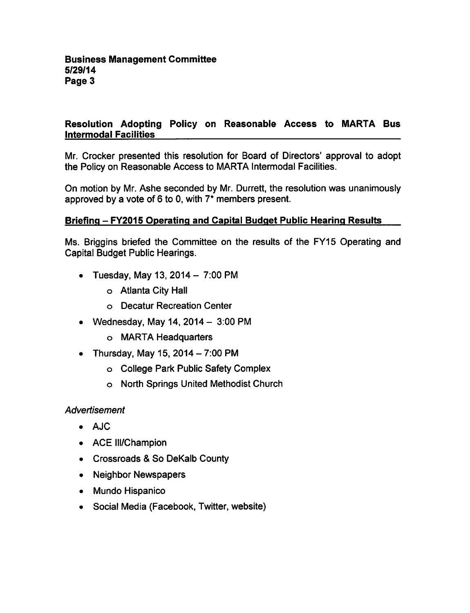# Resolution Adopting Policy on Reasonable Access to MARTA Bus Intermodal Facilities

Mr. Crocker presented this resolution for Board of Directors' approval to adopt the Policy on Reasonable Access to MARTA Intermodal Facilities.

On motion by Mr. Ashe seconded by Mr. Durrett, the resolution was unanimously approved by a vote of 6 to 0, with  $7^*$  members present.

# Briefing - FY2015 Operating and Capital Budget Public Hearing Results

Ms. Briggins briefed the Committee on the results of the FY15 Operating and Capital Budget Public Hearings.

- Tuesday, May 13, 2014  $-7:00$  PM
	- Atlanta City Hall
	- Decatur Recreation Center
- Wednesday, May 14,  $2014 3:00 \text{ PM}$ 
	- MARTA Headquarters
- Thursday, May 15, 2014  $-7:00$  PM
	- College Park Public Safety Complex
	- North Springs United Methodist Church

# Advertisement

- AJC
- ACE III/Champion
- Crossroads & So DeKalb County
- Neighbor Newspapers
- Mundo Hispanico
- Social Media (Facebook, Twitter, website)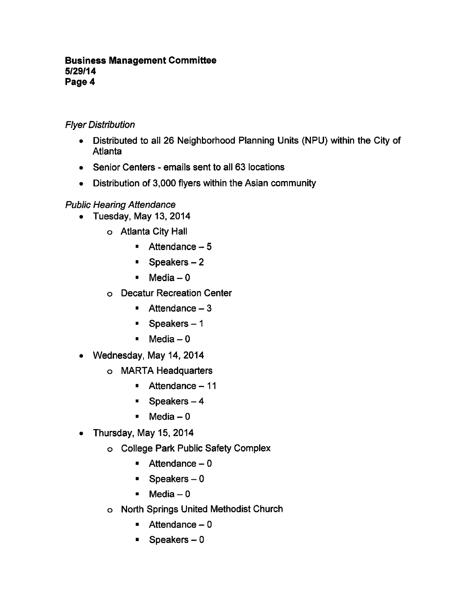### Business Management Committee 5/29/14 Page 4

# Flyer Distribution

- Distributed to all 26 Neighborhood Planning Units (NPU) within the City of Atlanta
- Senior Centers emails sent to all 63 locations
- Distribution of 3,000 flyers within the Asian community

# Public Hearing Attendance

- $\bullet$  Tuesday, May 13, 2014
	- Atlanta City Hall
		- $A$ ttendance  $-5$
		- $\blacksquare$  Speakers 2
		- $Media-0$
	- Decatur Recreation Center
		- $A$ ttendance  $-3$
		- $\bullet$  Speakers  $-1$
		- $M$ edia 0
- Wednesday, May 14, 2014  $\bullet$ 
	- MARTA Headquarters
		- $\blacksquare$  Attendance 11
		- $\blacksquare$  Speakers 4
		- $Media-0$
- Thursday, May 15, 2014  $\bullet$ 
	- College Park Public Safety Complex
		- $\blacksquare$  Attendance 0
		- $\blacksquare$ Speakers
		- $Media-0$
	- North Springs United Methodist Church
		- $A$ ttendance  $-0$
		- $\blacksquare$  Speakers 0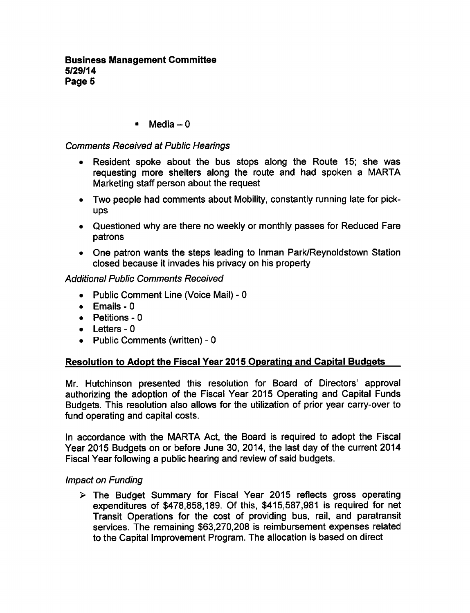$M$ edia – 0

## Comments Received at Public Hearings

- Resident spoke about the bus stops along the Route 15; she was requesting more shelters along the route and had spoken a MARTA Marketing staff person about the request
- Two people had comments about Mobility, constantly running late for pickups
- Questioned why are there no weekly or monthly passes for Reduced Fare patrons
- One patron wants the steps leading to Inman Park/Reynoldstown Station closed because it invades his privacy on his property

### Additional Public Comments Received

- Public Comment Line (Voice Mail) 0
- $\bullet$  Emails 0
- $\bullet$  Petitions 0
- $\bullet$  Letters 0
- $\bullet$  Public Comments (written) 0

### Resolution to Adopt the Fiscal Year 2015 Operating and Capital Budgets

Mr. Hutchinson presented this resolution for Board of Directors' approval authorizing the adoption of the Fiscal Year 2015 Operating and Capital Funds Budgets. This resolution also allows for the utilization of prior year carry-over to fund operating and capital costs.

In accordance with the MARTA Act, the Board is required to adopt the Fiscal Year 2015 Budgets on or before June 30, 2014, the last day of the current 2014 Fiscal Year following a public hearing and review of said budgets.

### Impact on Funding

 $\triangleright$  The Budget Summary for Fiscal Year 2015 reflects gross operating expenditures of \$478,858,189. Of this, \$415,587,981 is required for net Transit Operations for the cost of providing bus, rail, and paratransit services. The remaining \$63,270,208 is reimbursement expenses related to the Capital Improvement Program. The allocation is based on direct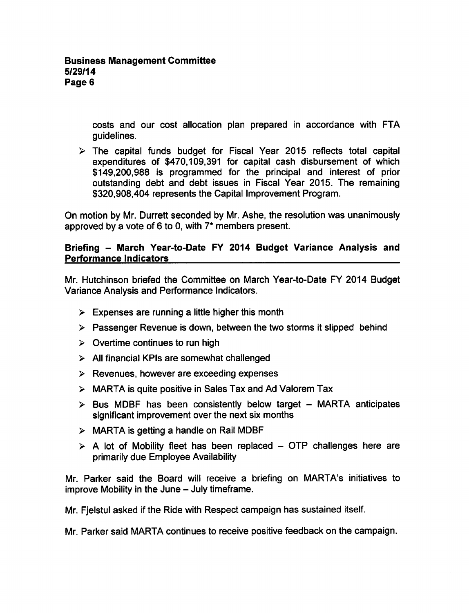costs and our cost allocation plan prepared in accordance with FTA guidelines.

 $\triangleright$  The capital funds budget for Fiscal Year 2015 reflects total capital expenditures of \$470,109,391 for capital cash disbursement of which \$149,200,988 is programmed for the principal and interest of prior outstanding debt and debt issues in Fiscal Year 2015. The remaining \$320,908,404 represents the Capital Improvement Program.

On motion by Mr. Durrett seconded by Mr. Ashe, the resolution was unanimously approved by a vote of 6 to 0, with  $7*$  members present.

## Briefing - March Year-to-Date FY 2014 Budget Variance Analysis and Performance Indicators

Mr. Hutchinson briefed the Committee on March Year-to-Date FY 2014 Budget Variance Analysis and Performance Indicators.

- $\triangleright$  Expenses are running a little higher this month
- $\triangleright$  Passenger Revenue is down, between the two storms it slipped behind
- $\geq$  Overtime continues to run high
- $\triangleright$  All financial KPIs are somewhat challenged
- $\triangleright$  Revenues, however are exceeding expenses
- MARTA is quite positive in Sales Tax and Ad Valorem Tax
- $\triangleright$  Bus MDBF has been consistently below target MARTA anticipates significant improvement over the next six months
- $\triangleright$  MARTA is getting a handle on Rail MDBF
- $\triangleright$  A lot of Mobility fleet has been replaced OTP challenges here are primarily due Employee Availability

Mr. Parker said the Board will receive a briefing on MARTA's initiatives to improve Mobility in the June  $-$  July timeframe.

Mr. Fjelstul asked if the Ride with Respect campaign has sustained itself.

Mr. Parker said MARTA continues to receive positive feedback on the campaign.